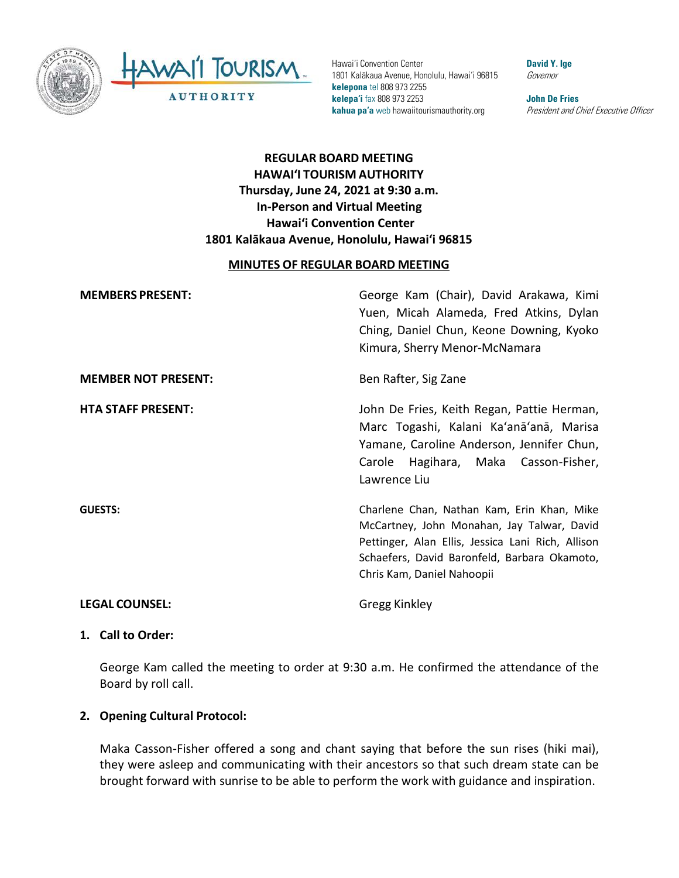



Hawai'i Convention Center 1801 Kalākaua Avenue, Honolulu, Hawai'i 96815 **kelepona** tel 808 973 2255 **kelepa'i** fax 808 973 2253 **kahua pa'a** web hawaiitourismauthority.org

**David Y. Ige** Governor

**John De Fries** President and Chief Executive Officer

# **REGULAR BOARD MEETING HAWAI'I TOURISM AUTHORITY Thursday, June 24, 2021 at 9:30 a.m. In-Person and Virtual Meeting Hawai'i Convention Center 1801 Kalākaua Avenue, Honolulu, Hawai'i 96815**

### **MINUTES OF REGULAR BOARD MEETING**

| <b>MEMBERS PRESENT:</b>    | George Kam (Chair), David Arakawa, Kimi<br>Yuen, Micah Alameda, Fred Atkins, Dylan<br>Ching, Daniel Chun, Keone Downing, Kyoko<br>Kimura, Sherry Menor-McNamara                                                             |
|----------------------------|-----------------------------------------------------------------------------------------------------------------------------------------------------------------------------------------------------------------------------|
| <b>MEMBER NOT PRESENT:</b> | Ben Rafter, Sig Zane                                                                                                                                                                                                        |
| <b>HTA STAFF PRESENT:</b>  | John De Fries, Keith Regan, Pattie Herman,<br>Marc Togashi, Kalani Ka'anā'anā, Marisa<br>Yamane, Caroline Anderson, Jennifer Chun,<br>Carole Hagihara, Maka Casson-Fisher,<br>Lawrence Liu                                  |
| <b>GUESTS:</b>             | Charlene Chan, Nathan Kam, Erin Khan, Mike<br>McCartney, John Monahan, Jay Talwar, David<br>Pettinger, Alan Ellis, Jessica Lani Rich, Allison<br>Schaefers, David Baronfeld, Barbara Okamoto,<br>Chris Kam, Daniel Nahoopii |
| <b>LEGAL COUNSEL:</b>      | Gregg Kinkley                                                                                                                                                                                                               |

#### **1. Call to Order:**

George Kam called the meeting to order at 9:30 a.m. He confirmed the attendance of the Board by roll call.

### **2. Opening Cultural Protocol:**

Maka Casson-Fisher offered a song and chant saying that before the sun rises (hiki mai), they were asleep and communicating with their ancestors so that such dream state can be brought forward with sunrise to be able to perform the work with guidance and inspiration.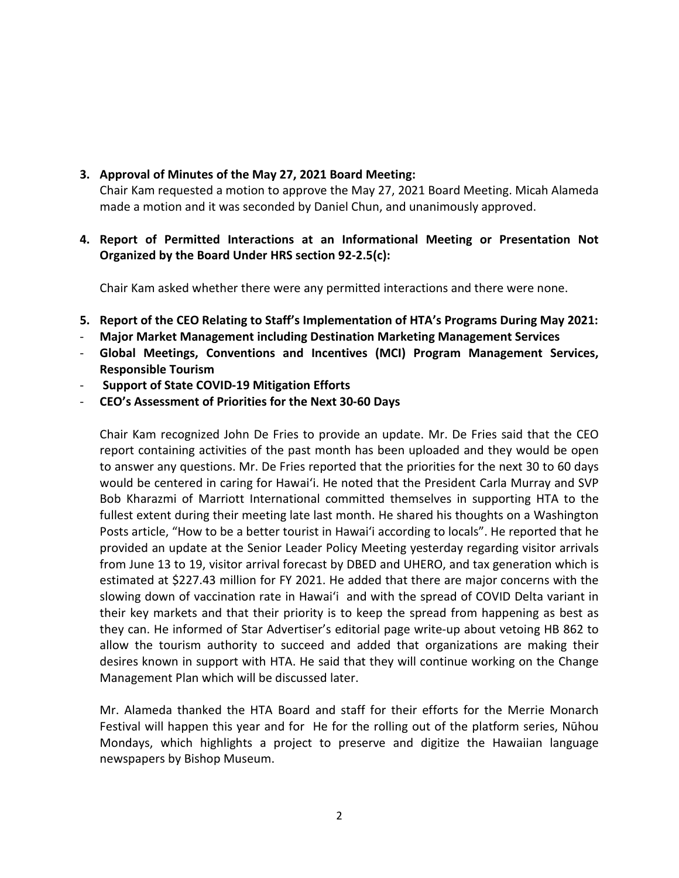## **3. Approval of Minutes of the May 27, 2021 Board Meeting:**

Chair Kam requested a motion to approve the May 27, 2021 Board Meeting. Micah Alameda made a motion and it was seconded by Daniel Chun, and unanimously approved.

## **4. Report of Permitted Interactions at an Informational Meeting or Presentation Not Organized by the Board Under HRS section 92-2.5(c):**

Chair Kam asked whether there were any permitted interactions and there were none.

- **5. Report of the CEO Relating to Staff's Implementation of HTA's Programs During May 2021:**
- **Major Market Management including Destination Marketing Management Services**
- **Global Meetings, Conventions and Incentives (MCI) Program Management Services, Responsible Tourism**
- **Support of State COVID-19 Mitigation Efforts**
- **CEO's Assessment of Priorities for the Next 30-60 Days**

Chair Kam recognized John De Fries to provide an update. Mr. De Fries said that the CEO report containing activities of the past month has been uploaded and they would be open to answer any questions. Mr. De Fries reported that the priorities for the next 30 to 60 days would be centered in caring for Hawaiʻi. He noted that the President Carla Murray and SVP Bob Kharazmi of Marriott International committed themselves in supporting HTA to the fullest extent during their meeting late last month. He shared his thoughts on a Washington Posts article, "How to be a better tourist in Hawaiʻi according to locals". He reported that he provided an update at the Senior Leader Policy Meeting yesterday regarding visitor arrivals from June 13 to 19, visitor arrival forecast by DBED and UHERO, and tax generation which is estimated at \$227.43 million for FY 2021. He added that there are major concerns with the slowing down of vaccination rate in Hawaiʻi and with the spread of COVID Delta variant in their key markets and that their priority is to keep the spread from happening as best as they can. He informed of Star Advertiser's editorial page write-up about vetoing HB 862 to allow the tourism authority to succeed and added that organizations are making their desires known in support with HTA. He said that they will continue working on the Change Management Plan which will be discussed later.

Mr. Alameda thanked the HTA Board and staff for their efforts for the Merrie Monarch Festival will happen this year and for He for the rolling out of the platform series, Nūhou Mondays, which highlights a project to preserve and digitize the Hawaiian language newspapers by Bishop Museum.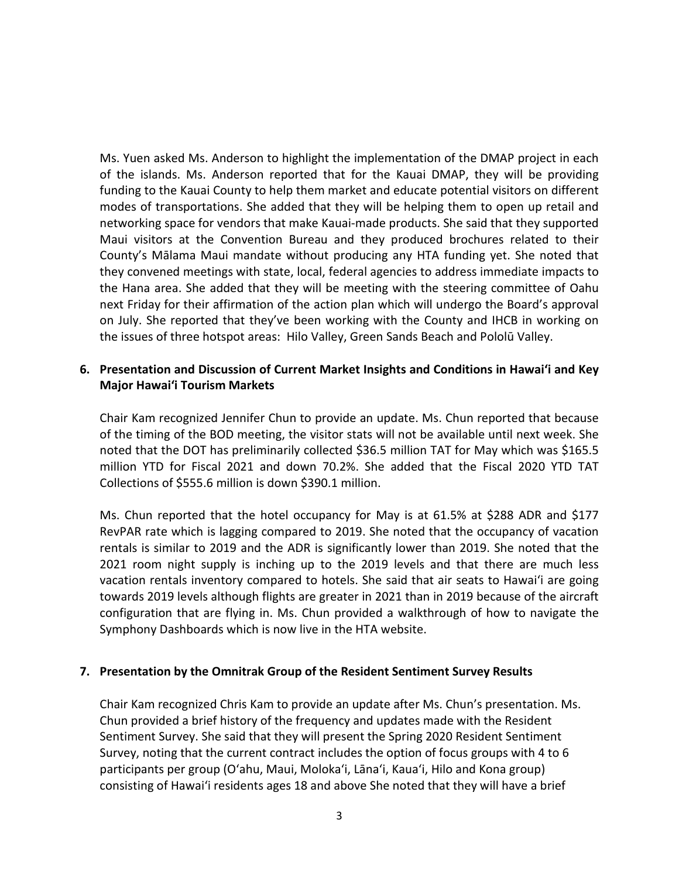Ms. Yuen asked Ms. Anderson to highlight the implementation of the DMAP project in each of the islands. Ms. Anderson reported that for the Kauai DMAP, they will be providing funding to the Kauai County to help them market and educate potential visitors on different modes of transportations. She added that they will be helping them to open up retail and networking space for vendors that make Kauai-made products. She said that they supported Maui visitors at the Convention Bureau and they produced brochures related to their County's Mālama Maui mandate without producing any HTA funding yet. She noted that they convened meetings with state, local, federal agencies to address immediate impacts to the Hana area. She added that they will be meeting with the steering committee of Oahu next Friday for their affirmation of the action plan which will undergo the Board's approval on July. She reported that they've been working with the County and IHCB in working on the issues of three hotspot areas: Hilo Valley, Green Sands Beach and Pololū Valley.

### **6. Presentation and Discussion of Current Market Insights and Conditions in Hawaiʻi and Key Major Hawai'i Tourism Markets**

Chair Kam recognized Jennifer Chun to provide an update. Ms. Chun reported that because of the timing of the BOD meeting, the visitor stats will not be available until next week. She noted that the DOT has preliminarily collected \$36.5 million TAT for May which was \$165.5 million YTD for Fiscal 2021 and down 70.2%. She added that the Fiscal 2020 YTD TAT Collections of \$555.6 million is down \$390.1 million.

Ms. Chun reported that the hotel occupancy for May is at 61.5% at \$288 ADR and \$177 RevPAR rate which is lagging compared to 2019. She noted that the occupancy of vacation rentals is similar to 2019 and the ADR is significantly lower than 2019. She noted that the 2021 room night supply is inching up to the 2019 levels and that there are much less vacation rentals inventory compared to hotels. She said that air seats to Hawaiʻi are going towards 2019 levels although flights are greater in 2021 than in 2019 because of the aircraft configuration that are flying in. Ms. Chun provided a walkthrough of how to navigate the Symphony Dashboards which is now live in the HTA website.

### **7. Presentation by the Omnitrak Group of the Resident Sentiment Survey Results**

Chair Kam recognized Chris Kam to provide an update after Ms. Chun's presentation. Ms. Chun provided a brief history of the frequency and updates made with the Resident Sentiment Survey. She said that they will present the Spring 2020 Resident Sentiment Survey, noting that the current contract includes the option of focus groups with 4 to 6 participants per group (Oʻahu, Maui, Molokaʻi, Lānaʻi, Kauaʻi, Hilo and Kona group) consisting of Hawaiʻi residents ages 18 and above She noted that they will have a brief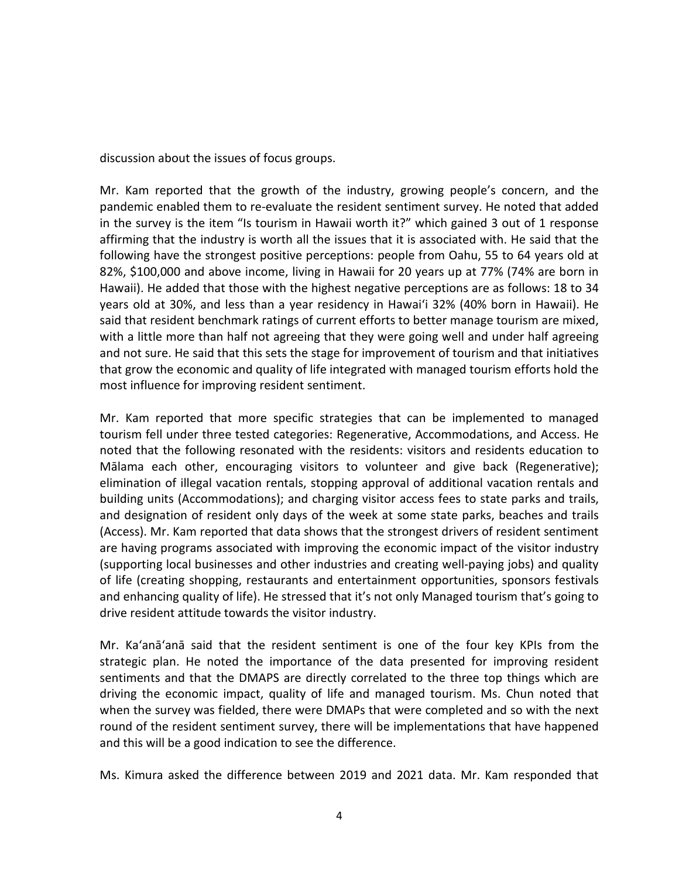discussion about the issues of focus groups.

Mr. Kam reported that the growth of the industry, growing people's concern, and the pandemic enabled them to re-evaluate the resident sentiment survey. He noted that added in the survey is the item "Is tourism in Hawaii worth it?" which gained 3 out of 1 response affirming that the industry is worth all the issues that it is associated with. He said that the following have the strongest positive perceptions: people from Oahu, 55 to 64 years old at 82%, \$100,000 and above income, living in Hawaii for 20 years up at 77% (74% are born in Hawaii). He added that those with the highest negative perceptions are as follows: 18 to 34 years old at 30%, and less than a year residency in Hawaiʻi 32% (40% born in Hawaii). He said that resident benchmark ratings of current efforts to better manage tourism are mixed, with a little more than half not agreeing that they were going well and under half agreeing and not sure. He said that this sets the stage for improvement of tourism and that initiatives that grow the economic and quality of life integrated with managed tourism efforts hold the most influence for improving resident sentiment.

Mr. Kam reported that more specific strategies that can be implemented to managed tourism fell under three tested categories: Regenerative, Accommodations, and Access. He noted that the following resonated with the residents: visitors and residents education to Mālama each other, encouraging visitors to volunteer and give back (Regenerative); elimination of illegal vacation rentals, stopping approval of additional vacation rentals and building units (Accommodations); and charging visitor access fees to state parks and trails, and designation of resident only days of the week at some state parks, beaches and trails (Access). Mr. Kam reported that data shows that the strongest drivers of resident sentiment are having programs associated with improving the economic impact of the visitor industry (supporting local businesses and other industries and creating well-paying jobs) and quality of life (creating shopping, restaurants and entertainment opportunities, sponsors festivals and enhancing quality of life). He stressed that it's not only Managed tourism that's going to drive resident attitude towards the visitor industry.

Mr. Ka'anā'anā said that the resident sentiment is one of the four key KPIs from the strategic plan. He noted the importance of the data presented for improving resident sentiments and that the DMAPS are directly correlated to the three top things which are driving the economic impact, quality of life and managed tourism. Ms. Chun noted that when the survey was fielded, there were DMAPs that were completed and so with the next round of the resident sentiment survey, there will be implementations that have happened and this will be a good indication to see the difference.

Ms. Kimura asked the difference between 2019 and 2021 data. Mr. Kam responded that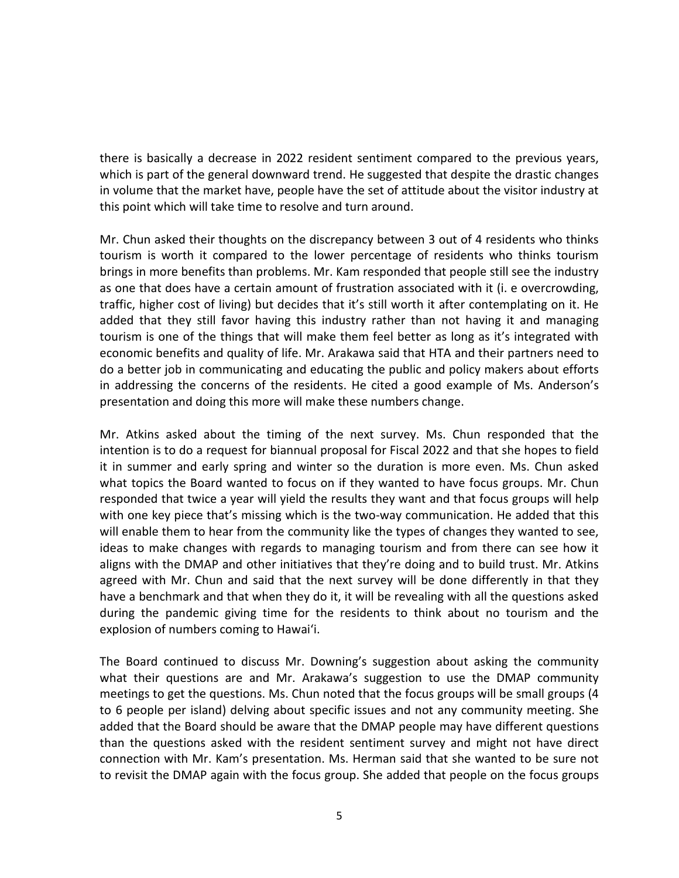there is basically a decrease in 2022 resident sentiment compared to the previous years, which is part of the general downward trend. He suggested that despite the drastic changes in volume that the market have, people have the set of attitude about the visitor industry at this point which will take time to resolve and turn around.

Mr. Chun asked their thoughts on the discrepancy between 3 out of 4 residents who thinks tourism is worth it compared to the lower percentage of residents who thinks tourism brings in more benefits than problems. Mr. Kam responded that people still see the industry as one that does have a certain amount of frustration associated with it (i. e overcrowding, traffic, higher cost of living) but decides that it's still worth it after contemplating on it. He added that they still favor having this industry rather than not having it and managing tourism is one of the things that will make them feel better as long as it's integrated with economic benefits and quality of life. Mr. Arakawa said that HTA and their partners need to do a better job in communicating and educating the public and policy makers about efforts in addressing the concerns of the residents. He cited a good example of Ms. Anderson's presentation and doing this more will make these numbers change.

Mr. Atkins asked about the timing of the next survey. Ms. Chun responded that the intention is to do a request for biannual proposal for Fiscal 2022 and that she hopes to field it in summer and early spring and winter so the duration is more even. Ms. Chun asked what topics the Board wanted to focus on if they wanted to have focus groups. Mr. Chun responded that twice a year will yield the results they want and that focus groups will help with one key piece that's missing which is the two-way communication. He added that this will enable them to hear from the community like the types of changes they wanted to see, ideas to make changes with regards to managing tourism and from there can see how it aligns with the DMAP and other initiatives that they're doing and to build trust. Mr. Atkins agreed with Mr. Chun and said that the next survey will be done differently in that they have a benchmark and that when they do it, it will be revealing with all the questions asked during the pandemic giving time for the residents to think about no tourism and the explosion of numbers coming to Hawaiʻi.

The Board continued to discuss Mr. Downing's suggestion about asking the community what their questions are and Mr. Arakawa's suggestion to use the DMAP community meetings to get the questions. Ms. Chun noted that the focus groups will be small groups (4 to 6 people per island) delving about specific issues and not any community meeting. She added that the Board should be aware that the DMAP people may have different questions than the questions asked with the resident sentiment survey and might not have direct connection with Mr. Kam's presentation. Ms. Herman said that she wanted to be sure not to revisit the DMAP again with the focus group. She added that people on the focus groups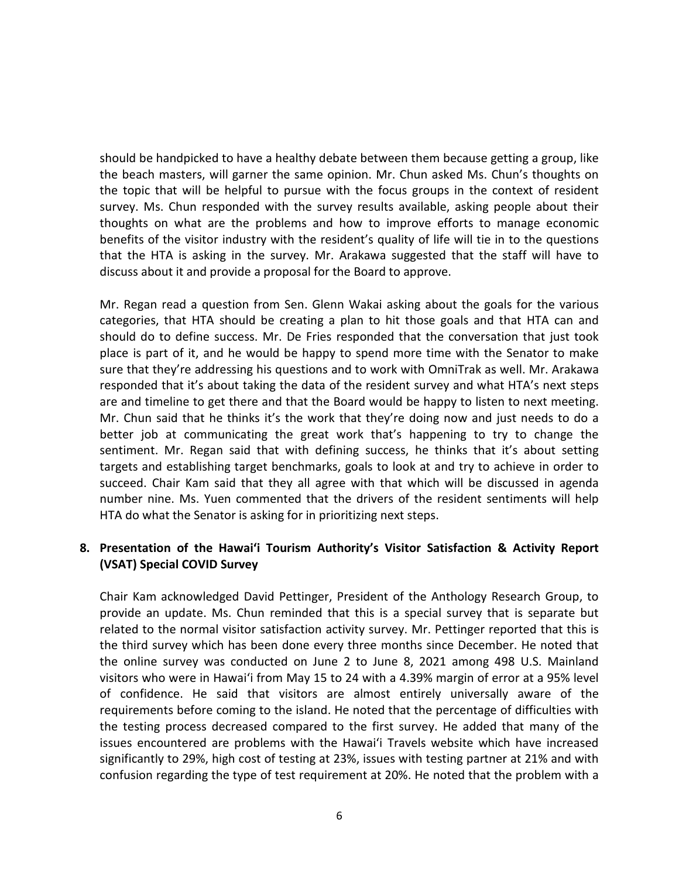should be handpicked to have a healthy debate between them because getting a group, like the beach masters, will garner the same opinion. Mr. Chun asked Ms. Chun's thoughts on the topic that will be helpful to pursue with the focus groups in the context of resident survey. Ms. Chun responded with the survey results available, asking people about their thoughts on what are the problems and how to improve efforts to manage economic benefits of the visitor industry with the resident's quality of life will tie in to the questions that the HTA is asking in the survey. Mr. Arakawa suggested that the staff will have to discuss about it and provide a proposal for the Board to approve.

Mr. Regan read a question from Sen. Glenn Wakai asking about the goals for the various categories, that HTA should be creating a plan to hit those goals and that HTA can and should do to define success. Mr. De Fries responded that the conversation that just took place is part of it, and he would be happy to spend more time with the Senator to make sure that they're addressing his questions and to work with OmniTrak as well. Mr. Arakawa responded that it's about taking the data of the resident survey and what HTA's next steps are and timeline to get there and that the Board would be happy to listen to next meeting. Mr. Chun said that he thinks it's the work that they're doing now and just needs to do a better job at communicating the great work that's happening to try to change the sentiment. Mr. Regan said that with defining success, he thinks that it's about setting targets and establishing target benchmarks, goals to look at and try to achieve in order to succeed. Chair Kam said that they all agree with that which will be discussed in agenda number nine. Ms. Yuen commented that the drivers of the resident sentiments will help HTA do what the Senator is asking for in prioritizing next steps.

# **8. Presentation of the Hawaiʻi Tourism Authority's Visitor Satisfaction & Activity Report (VSAT) Special COVID Survey**

Chair Kam acknowledged David Pettinger, President of the Anthology Research Group, to provide an update. Ms. Chun reminded that this is a special survey that is separate but related to the normal visitor satisfaction activity survey. Mr. Pettinger reported that this is the third survey which has been done every three months since December. He noted that the online survey was conducted on June 2 to June 8, 2021 among 498 U.S. Mainland visitors who were in Hawaiʻi from May 15 to 24 with a 4.39% margin of error at a 95% level of confidence. He said that visitors are almost entirely universally aware of the requirements before coming to the island. He noted that the percentage of difficulties with the testing process decreased compared to the first survey. He added that many of the issues encountered are problems with the Hawaiʻi Travels website which have increased significantly to 29%, high cost of testing at 23%, issues with testing partner at 21% and with confusion regarding the type of test requirement at 20%. He noted that the problem with a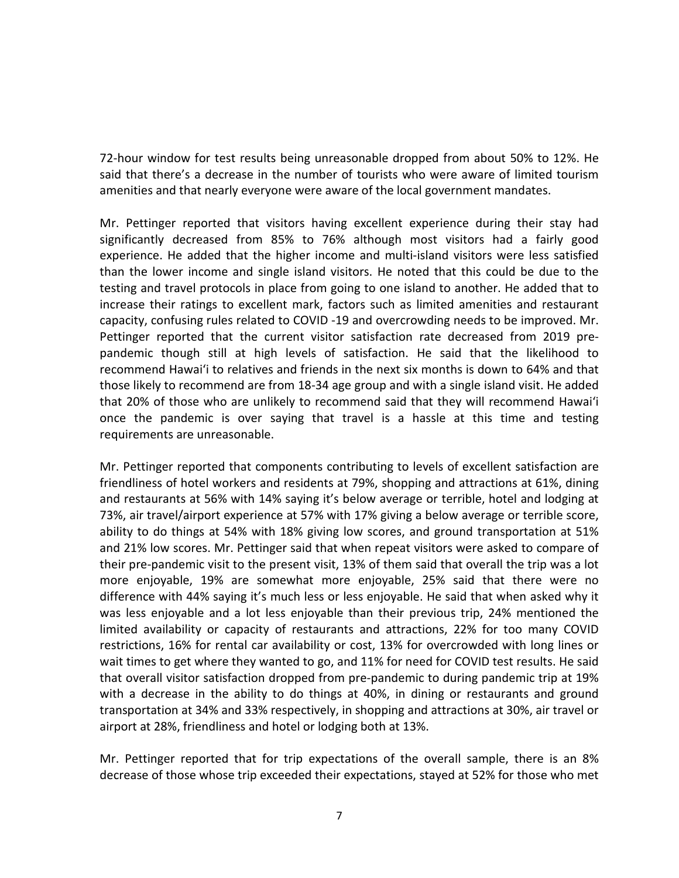72-hour window for test results being unreasonable dropped from about 50% to 12%. He said that there's a decrease in the number of tourists who were aware of limited tourism amenities and that nearly everyone were aware of the local government mandates.

Mr. Pettinger reported that visitors having excellent experience during their stay had significantly decreased from 85% to 76% although most visitors had a fairly good experience. He added that the higher income and multi-island visitors were less satisfied than the lower income and single island visitors. He noted that this could be due to the testing and travel protocols in place from going to one island to another. He added that to increase their ratings to excellent mark, factors such as limited amenities and restaurant capacity, confusing rules related to COVID -19 and overcrowding needs to be improved. Mr. Pettinger reported that the current visitor satisfaction rate decreased from 2019 prepandemic though still at high levels of satisfaction. He said that the likelihood to recommend Hawaiʻi to relatives and friends in the next six months is down to 64% and that those likely to recommend are from 18-34 age group and with a single island visit. He added that 20% of those who are unlikely to recommend said that they will recommend Hawaiʻi once the pandemic is over saying that travel is a hassle at this time and testing requirements are unreasonable.

Mr. Pettinger reported that components contributing to levels of excellent satisfaction are friendliness of hotel workers and residents at 79%, shopping and attractions at 61%, dining and restaurants at 56% with 14% saying it's below average or terrible, hotel and lodging at 73%, air travel/airport experience at 57% with 17% giving a below average or terrible score, ability to do things at 54% with 18% giving low scores, and ground transportation at 51% and 21% low scores. Mr. Pettinger said that when repeat visitors were asked to compare of their pre-pandemic visit to the present visit, 13% of them said that overall the trip was a lot more enjoyable, 19% are somewhat more enjoyable, 25% said that there were no difference with 44% saying it's much less or less enjoyable. He said that when asked why it was less enjoyable and a lot less enjoyable than their previous trip, 24% mentioned the limited availability or capacity of restaurants and attractions, 22% for too many COVID restrictions, 16% for rental car availability or cost, 13% for overcrowded with long lines or wait times to get where they wanted to go, and 11% for need for COVID test results. He said that overall visitor satisfaction dropped from pre-pandemic to during pandemic trip at 19% with a decrease in the ability to do things at 40%, in dining or restaurants and ground transportation at 34% and 33% respectively, in shopping and attractions at 30%, air travel or airport at 28%, friendliness and hotel or lodging both at 13%.

Mr. Pettinger reported that for trip expectations of the overall sample, there is an 8% decrease of those whose trip exceeded their expectations, stayed at 52% for those who met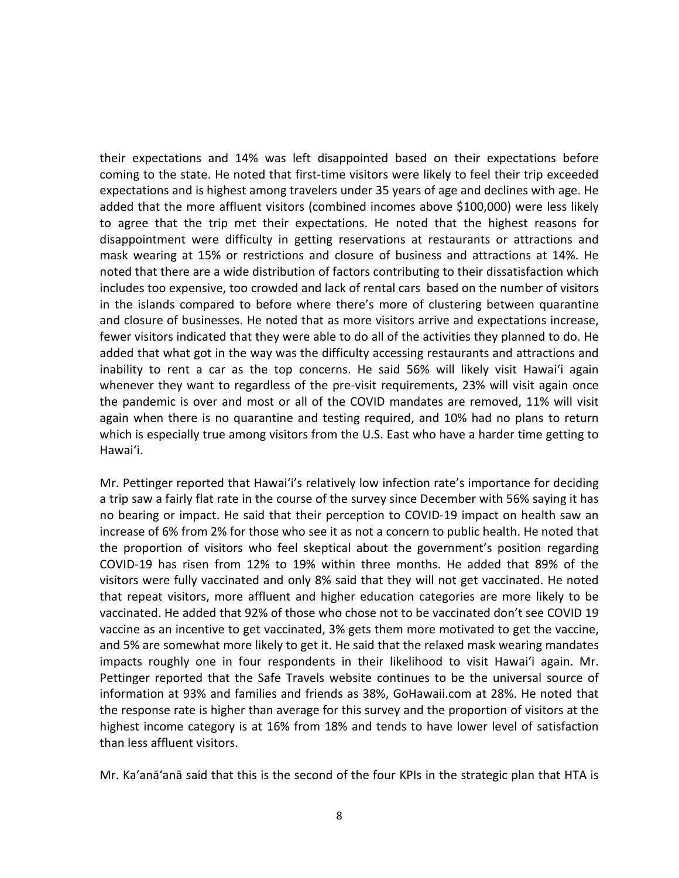their expectations and 14% was left disappointed based on their expectations before coming to the state. He noted that first-time visitors were likely to feel their trip exceeded expectations and is highest among travelers under 35 years of age and declines with age. He added that the more affluent visitors (combined incomes above \$100,000) were less likely to agree that the trip met their expectations. He noted that the highest reasons for disappointment were difficulty in getting reservations at restaurants or attractions and mask wearing at 15% or restrictions and closure of business and attractions at 14%. He noted that there are a wide distribution of factors contributing to their dissatisfaction which includes too expensive, too crowded and lack of rental cars based on the number of visitors in the islands compared to before where there's more of clustering between quarantine and closure of businesses. He noted that as more visitors arrive and expectations increase, fewer visitors indicated that they were able to do all of the activities they planned to do. He added that what got in the way was the difficulty accessing restaurants and attractions and inability to rent a car as the top concerns. He said 56% will likely visit Hawaiʻi again whenever they want to regardless of the pre-visit requirements, 23% will visit again once the pandemic is over and most or all of the COVID mandates are removed, 11% will visit again when there is no quarantine and testing required, and 10% had no plans to return which is especially true among visitors from the U.S. East who have a harder time getting to Hawaiʻi.

Mr. Pettinger reported that Hawaiʻi's relatively low infection rate's importance for deciding a trip saw a fairly flat rate in the course of the survey since December with 56% saying it has no bearing or impact. He said that their perception to COVID-19 impact on health saw an increase of 6% from 2% for those who see it as not a concern to public health. He noted that the proportion of visitors who feel skeptical about the government's position regarding COVID-19 has risen from 12% to 19% within three months. He added that 89% of the visitors were fully vaccinated and only 8% said that they will not get vaccinated. He noted that repeat visitors, more affluent and higher education categories are more likely to be vaccinated. He added that 92% of those who chose not to be vaccinated don't see COVID 19 vaccine as an incentive to get vaccinated, 3% gets them more motivated to get the vaccine, and 5% are somewhat more likely to get it. He said that the relaxed mask wearing mandates impacts roughly one in four respondents in their likelihood to visit Hawaiʻi again. Mr. Pettinger reported that the Safe Travels website continues to be the universal source of information at 93% and families and friends as 38%, GoHawaii.com at 28%. He noted that the response rate is higher than average for this survey and the proportion of visitors at the highest income category is at 16% from 18% and tends to have lower level of satisfaction than less affluent visitors.

Mr. Ka'anā'anā said that this is the second of the four KPIs in the strategic plan that HTA is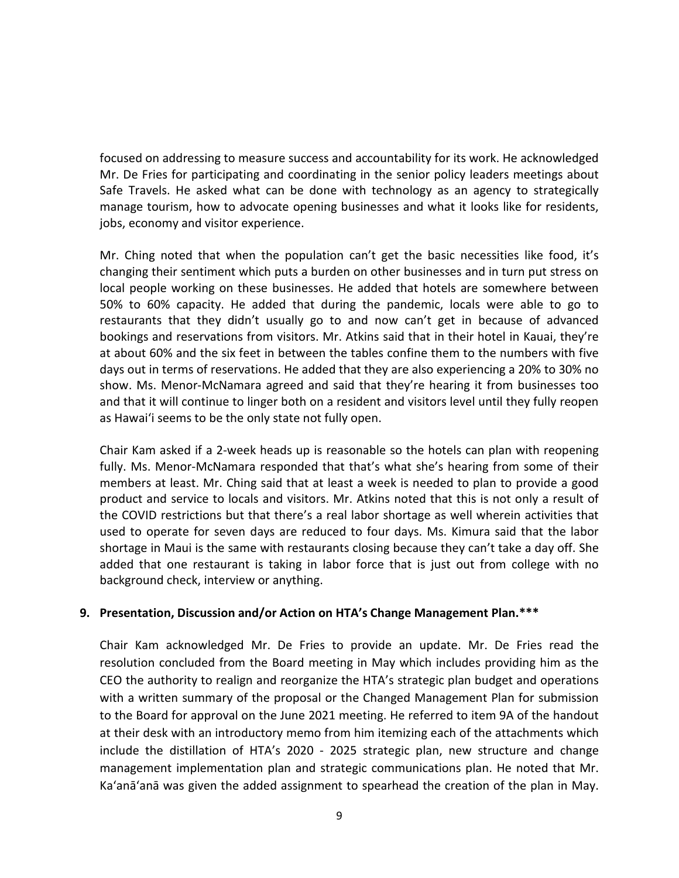focused on addressing to measure success and accountability for its work. He acknowledged Mr. De Fries for participating and coordinating in the senior policy leaders meetings about Safe Travels. He asked what can be done with technology as an agency to strategically manage tourism, how to advocate opening businesses and what it looks like for residents, jobs, economy and visitor experience.

Mr. Ching noted that when the population can't get the basic necessities like food, it's changing their sentiment which puts a burden on other businesses and in turn put stress on local people working on these businesses. He added that hotels are somewhere between 50% to 60% capacity. He added that during the pandemic, locals were able to go to restaurants that they didn't usually go to and now can't get in because of advanced bookings and reservations from visitors. Mr. Atkins said that in their hotel in Kauai, they're at about 60% and the six feet in between the tables confine them to the numbers with five days out in terms of reservations. He added that they are also experiencing a 20% to 30% no show. Ms. Menor-McNamara agreed and said that they're hearing it from businesses too and that it will continue to linger both on a resident and visitors level until they fully reopen as Hawaiʻi seems to be the only state not fully open.

Chair Kam asked if a 2-week heads up is reasonable so the hotels can plan with reopening fully. Ms. Menor-McNamara responded that that's what she's hearing from some of their members at least. Mr. Ching said that at least a week is needed to plan to provide a good product and service to locals and visitors. Mr. Atkins noted that this is not only a result of the COVID restrictions but that there's a real labor shortage as well wherein activities that used to operate for seven days are reduced to four days. Ms. Kimura said that the labor shortage in Maui is the same with restaurants closing because they can't take a day off. She added that one restaurant is taking in labor force that is just out from college with no background check, interview or anything.

### **9. Presentation, Discussion and/or Action on HTA's Change Management Plan.\*\*\***

Chair Kam acknowledged Mr. De Fries to provide an update. Mr. De Fries read the resolution concluded from the Board meeting in May which includes providing him as the CEO the authority to realign and reorganize the HTA's strategic plan budget and operations with a written summary of the proposal or the Changed Management Plan for submission to the Board for approval on the June 2021 meeting. He referred to item 9A of the handout at their desk with an introductory memo from him itemizing each of the attachments which include the distillation of HTA's 2020 - 2025 strategic plan, new structure and change management implementation plan and strategic communications plan. He noted that Mr. Ka'anā'anā was given the added assignment to spearhead the creation of the plan in May.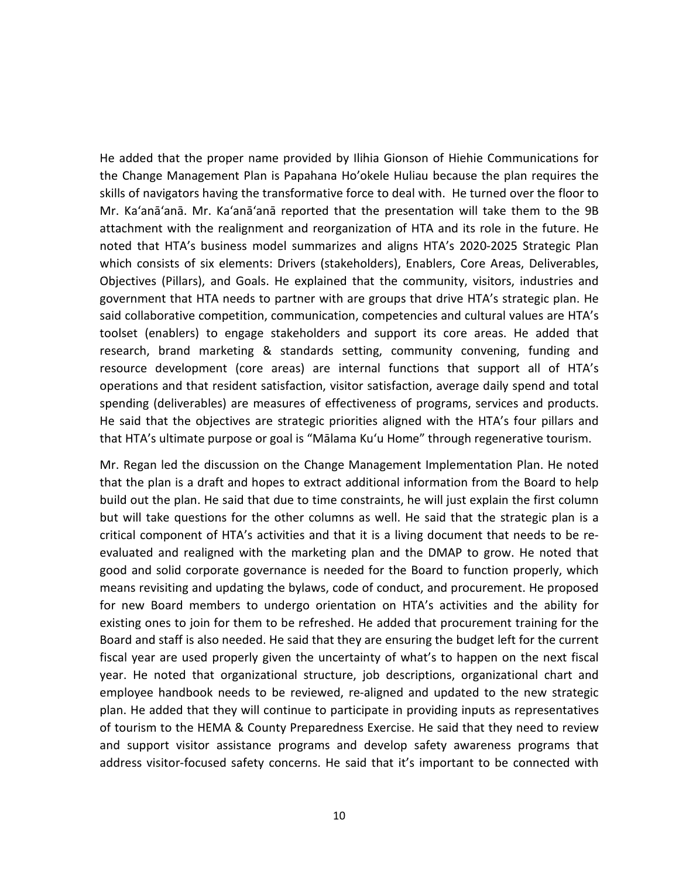He added that the proper name provided by Ilihia Gionson of Hiehie Communications for the Change Management Plan is Papahana Ho'okele Huliau because the plan requires the skills of navigators having the transformative force to deal with. He turned over the floor to Mr. Ka'anā'anā. Mr. Ka'anā'anā reported that the presentation will take them to the 9B attachment with the realignment and reorganization of HTA and its role in the future. He noted that HTA's business model summarizes and aligns HTA's 2020-2025 Strategic Plan which consists of six elements: Drivers (stakeholders), Enablers, Core Areas, Deliverables, Objectives (Pillars), and Goals. He explained that the community, visitors, industries and government that HTA needs to partner with are groups that drive HTA's strategic plan. He said collaborative competition, communication, competencies and cultural values are HTA's toolset (enablers) to engage stakeholders and support its core areas. He added that research, brand marketing & standards setting, community convening, funding and resource development (core areas) are internal functions that support all of HTA's operations and that resident satisfaction, visitor satisfaction, average daily spend and total spending (deliverables) are measures of effectiveness of programs, services and products. He said that the objectives are strategic priorities aligned with the HTA's four pillars and that HTA's ultimate purpose or goal is "Mālama Kuʻu Home" through regenerative tourism.

Mr. Regan led the discussion on the Change Management Implementation Plan. He noted that the plan is a draft and hopes to extract additional information from the Board to help build out the plan. He said that due to time constraints, he will just explain the first column but will take questions for the other columns as well. He said that the strategic plan is a critical component of HTA's activities and that it is a living document that needs to be reevaluated and realigned with the marketing plan and the DMAP to grow. He noted that good and solid corporate governance is needed for the Board to function properly, which means revisiting and updating the bylaws, code of conduct, and procurement. He proposed for new Board members to undergo orientation on HTA's activities and the ability for existing ones to join for them to be refreshed. He added that procurement training for the Board and staff is also needed. He said that they are ensuring the budget left for the current fiscal year are used properly given the uncertainty of what's to happen on the next fiscal year. He noted that organizational structure, job descriptions, organizational chart and employee handbook needs to be reviewed, re-aligned and updated to the new strategic plan. He added that they will continue to participate in providing inputs as representatives of tourism to the HEMA & County Preparedness Exercise. He said that they need to review and support visitor assistance programs and develop safety awareness programs that address visitor-focused safety concerns. He said that it's important to be connected with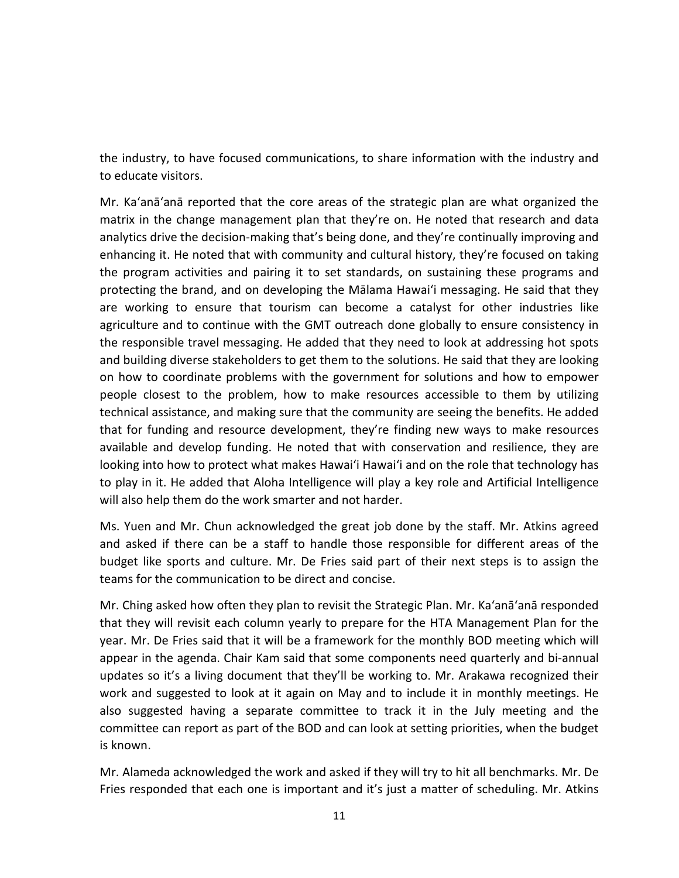the industry, to have focused communications, to share information with the industry and to educate visitors.

Mr. Ka'anā'anā reported that the core areas of the strategic plan are what organized the matrix in the change management plan that they're on. He noted that research and data analytics drive the decision-making that's being done, and they're continually improving and enhancing it. He noted that with community and cultural history, they're focused on taking the program activities and pairing it to set standards, on sustaining these programs and protecting the brand, and on developing the Mālama Hawaiʻi messaging. He said that they are working to ensure that tourism can become a catalyst for other industries like agriculture and to continue with the GMT outreach done globally to ensure consistency in the responsible travel messaging. He added that they need to look at addressing hot spots and building diverse stakeholders to get them to the solutions. He said that they are looking on how to coordinate problems with the government for solutions and how to empower people closest to the problem, how to make resources accessible to them by utilizing technical assistance, and making sure that the community are seeing the benefits. He added that for funding and resource development, they're finding new ways to make resources available and develop funding. He noted that with conservation and resilience, they are looking into how to protect what makes Hawaiʻi Hawaiʻi and on the role that technology has to play in it. He added that Aloha Intelligence will play a key role and Artificial Intelligence will also help them do the work smarter and not harder.

Ms. Yuen and Mr. Chun acknowledged the great job done by the staff. Mr. Atkins agreed and asked if there can be a staff to handle those responsible for different areas of the budget like sports and culture. Mr. De Fries said part of their next steps is to assign the teams for the communication to be direct and concise.

Mr. Ching asked how often they plan to revisit the Strategic Plan. Mr. Ka'anā'anā responded that they will revisit each column yearly to prepare for the HTA Management Plan for the year. Mr. De Fries said that it will be a framework for the monthly BOD meeting which will appear in the agenda. Chair Kam said that some components need quarterly and bi-annual updates so it's a living document that they'll be working to. Mr. Arakawa recognized their work and suggested to look at it again on May and to include it in monthly meetings. He also suggested having a separate committee to track it in the July meeting and the committee can report as part of the BOD and can look at setting priorities, when the budget is known.

Mr. Alameda acknowledged the work and asked if they will try to hit all benchmarks. Mr. De Fries responded that each one is important and it's just a matter of scheduling. Mr. Atkins